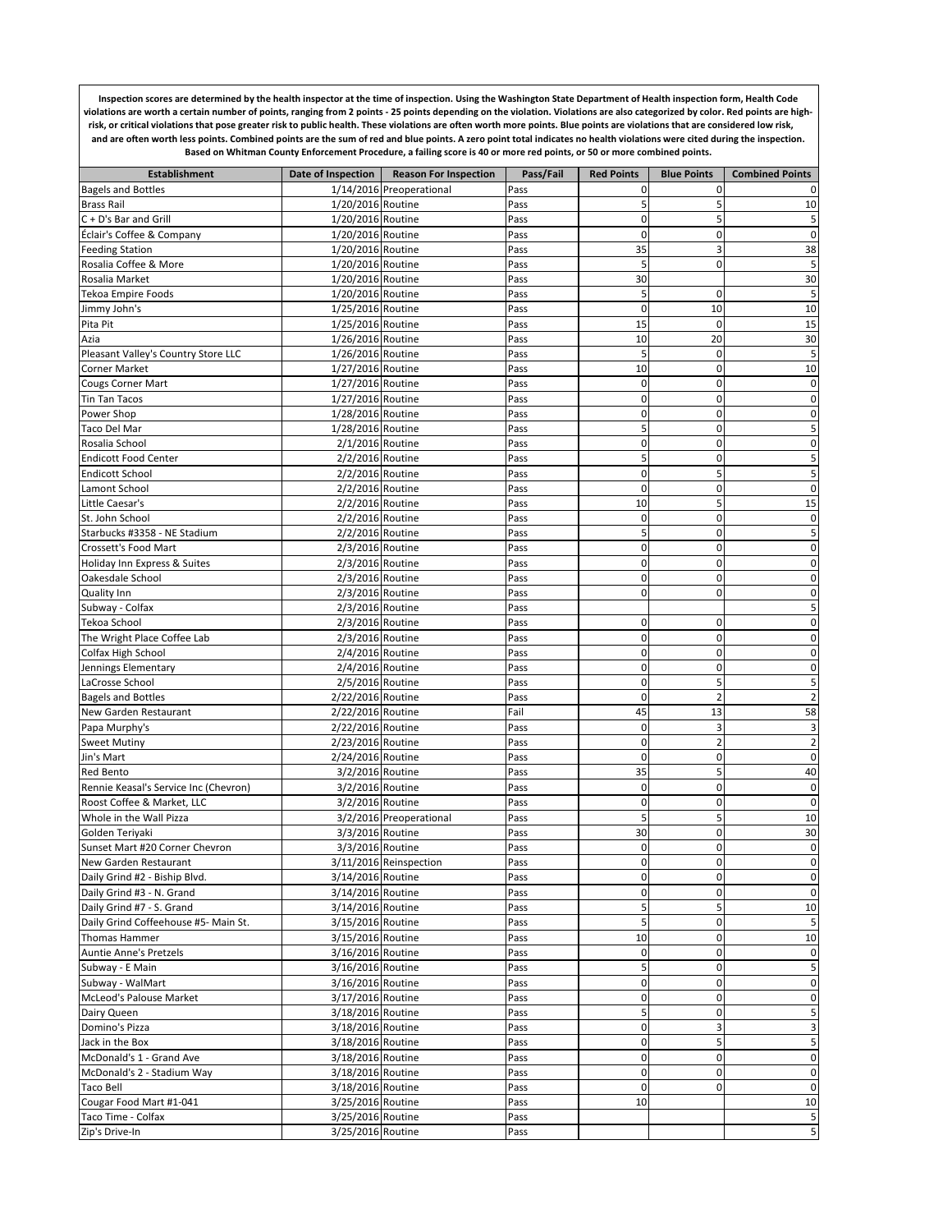**Inspection scores are determined by the health inspector at the time of inspection. Using the Washington State Department of Health inspection form, Health Code**  violations are worth a certain number of points, ranging from 2 points - 25 points depending on the violation. Violations are also categorized by color. Red points are high**risk, or critical violations that pose greater risk to public health. These violations are often worth more points. Blue points are violations that are considered low risk, and are often worth less points. Combined points are the sum of red and blue points. A zero point total indicates no health violations were cited during the inspection. Based on Whitman County Enforcement Procedure, a failing score is 40 or more red points, or 50 or more combined points.** 

| <b>Establishment</b>                  |                   | Date of Inspection   Reason For Inspection | Pass/Fail | <b>Red Points</b> | <b>Blue Points</b> | <b>Combined Points</b> |
|---------------------------------------|-------------------|--------------------------------------------|-----------|-------------------|--------------------|------------------------|
| <b>Bagels and Bottles</b>             |                   | 1/14/2016 Preoperational                   | Pass      | 0                 | $\mathbf{0}$       | 0                      |
| <b>Brass Rail</b>                     | 1/20/2016 Routine |                                            | Pass      | 5                 | 5                  | 10                     |
| C + D's Bar and Grill                 | 1/20/2016 Routine |                                            | Pass      | $\mathbf 0$       | 5                  | 5                      |
| Éclair's Coffee & Company             | 1/20/2016 Routine |                                            | Pass      | 0                 | 0                  | $\pmb{0}$              |
| <b>Feeding Station</b>                | 1/20/2016 Routine |                                            | Pass      | 35                | 3                  | 38                     |
| Rosalia Coffee & More                 | 1/20/2016 Routine |                                            | Pass      | 5                 | 0                  | 5                      |
| Rosalia Market                        | 1/20/2016 Routine |                                            | Pass      | 30                |                    | 30                     |
| Tekoa Empire Foods                    | 1/20/2016 Routine |                                            | Pass      | 5                 | $\mathbf 0$        | 5                      |
| Jimmy John's                          | 1/25/2016 Routine |                                            | Pass      | 0                 | 10                 | 10                     |
| Pita Pit                              | 1/25/2016 Routine |                                            | Pass      | 15                | $\mathbf 0$        | 15                     |
| Azia                                  | 1/26/2016 Routine |                                            | Pass      | 10                | 20                 | 30                     |
| Pleasant Valley's Country Store LLC   | 1/26/2016 Routine |                                            | Pass      | 5                 | 0                  | 5                      |
| <b>Corner Market</b>                  | 1/27/2016 Routine |                                            | Pass      | 10                | $\mathbf 0$        | 10                     |
| <b>Cougs Corner Mart</b>              | 1/27/2016 Routine |                                            | Pass      | 0                 | 0                  | 0                      |
| Tin Tan Tacos                         | 1/27/2016 Routine |                                            | Pass      | 0                 | $\mathbf 0$        | $\pmb{0}$              |
| Power Shop                            | 1/28/2016 Routine |                                            | Pass      | 0                 | 0                  | 0                      |
| Taco Del Mar                          | 1/28/2016 Routine |                                            | Pass      | 5                 | $\mathbf 0$        | 5                      |
| Rosalia School                        | 2/1/2016 Routine  |                                            | Pass      | 0                 | 0                  | $\mathbf 0$            |
| <b>Endicott Food Center</b>           | 2/2/2016 Routine  |                                            | Pass      | 5                 | 0                  | 5                      |
| <b>Endicott School</b>                | 2/2/2016 Routine  |                                            | Pass      | 0                 | 5                  | 5                      |
| Lamont School                         | 2/2/2016 Routine  |                                            | Pass      | 0                 | 0                  | 0                      |
| Little Caesar's                       | 2/2/2016 Routine  |                                            | Pass      | 10                | 5                  | 15                     |
| St. John School                       | 2/2/2016 Routine  |                                            | Pass      | $\mathbf 0$       | $\mathbf 0$        | 0                      |
| Starbucks #3358 - NE Stadium          | 2/2/2016 Routine  |                                            | Pass      | 5                 | $\mathbf 0$        | 5                      |
| Crossett's Food Mart                  | 2/3/2016 Routine  |                                            | Pass      | 0                 | 0                  | $\mathbf 0$            |
| Holiday Inn Express & Suites          | 2/3/2016 Routine  |                                            | Pass      | 0                 | 0                  | 0                      |
| Oakesdale School                      | 2/3/2016 Routine  |                                            | Pass      | 0                 | $\mathbf 0$        | 0                      |
| <b>Quality Inn</b>                    | 2/3/2016 Routine  |                                            | Pass      | 0                 | 0                  | $\mathbf 0$            |
| Subway - Colfax                       | 2/3/2016 Routine  |                                            | Pass      |                   |                    | 5                      |
| Tekoa School                          | 2/3/2016 Routine  |                                            | Pass      | 0                 | 0                  | 0                      |
| The Wright Place Coffee Lab           | 2/3/2016 Routine  |                                            | Pass      | 0                 | 0                  | 0                      |
| Colfax High School                    | 2/4/2016 Routine  |                                            | Pass      | 0                 | $\mathbf 0$        | 0                      |
| Jennings Elementary                   | 2/4/2016 Routine  |                                            | Pass      | 0                 | $\mathbf 0$        | $\mathbf 0$            |
| LaCrosse School                       | 2/5/2016 Routine  |                                            | Pass      | 0                 | 5                  | 5                      |
| <b>Bagels and Bottles</b>             | 2/22/2016 Routine |                                            | Pass      | 0                 | $\overline{a}$     | $\overline{2}$         |
| New Garden Restaurant                 | 2/22/2016 Routine |                                            | Fail      | 45                | 13                 | 58                     |
| Papa Murphy's                         | 2/22/2016 Routine |                                            | Pass      | 0                 | 3                  | 3                      |
| <b>Sweet Mutiny</b>                   | 2/23/2016 Routine |                                            | Pass      | $\mathbf 0$       | $\overline{c}$     | $\overline{2}$         |
| Jin's Mart                            | 2/24/2016 Routine |                                            | Pass      | 0                 | 0                  | $\pmb{0}$              |
| <b>Red Bento</b>                      | 3/2/2016 Routine  |                                            | Pass      | 35                | 5                  | 40                     |
| Rennie Keasal's Service Inc (Chevron) | 3/2/2016 Routine  |                                            | Pass      | 0                 | $\mathbf 0$        | 0                      |
| Roost Coffee & Market, LLC            | 3/2/2016 Routine  |                                            | Pass      | $\mathbf 0$       | $\mathbf 0$        | $\pmb{0}$              |
| Whole in the Wall Pizza               |                   | 3/2/2016 Preoperational                    | Pass      | 5                 | 5                  | 10                     |
| Golden Teriyaki                       | 3/3/2016 Routine  |                                            | Pass      | 30                | 0                  | 30                     |
| Sunset Mart #20 Corner Chevron        | 3/3/2016 Routine  |                                            | Pass      | 0                 | 0                  | $\pmb{0}$              |
| New Garden Restaurant                 |                   | 3/11/2016 Reinspection                     | Pass      | O                 | $\Omega$           | $\mathbf 0$            |
| Daily Grind #2 - Biship Blvd.         | 3/14/2016 Routine |                                            | Pass      | $\pmb{0}$         | $\pmb{0}$          | $\pmb{0}$              |
| Daily Grind #3 - N. Grand             | 3/14/2016 Routine |                                            | Pass      | 0                 | 0                  | $\mathbf 0$            |
| Daily Grind #7 - S. Grand             | 3/14/2016 Routine |                                            | Pass      | 5                 | 5                  | 10                     |
| Daily Grind Coffeehouse #5- Main St.  | 3/15/2016 Routine |                                            | Pass      | 5                 | 0                  | 5                      |
| Thomas Hammer                         | 3/15/2016 Routine |                                            | Pass      | 10                | $\mathbf 0$        | 10                     |
| Auntie Anne's Pretzels                | 3/16/2016 Routine |                                            | Pass      | 0                 | 0                  | $\mathbf 0$            |
| Subway - E Main                       | 3/16/2016 Routine |                                            | Pass      | 5                 | 0                  | 5                      |
| Subway - WalMart                      | 3/16/2016 Routine |                                            | Pass      | 0                 | 0                  | $\pmb{0}$              |
| McLeod's Palouse Market               | 3/17/2016 Routine |                                            | Pass      | 0                 | 0                  | $\mathsf{O}\xspace$    |
| Dairy Queen                           | 3/18/2016 Routine |                                            | Pass      | 5                 | 0                  | 5                      |
| Domino's Pizza                        | 3/18/2016 Routine |                                            | Pass      | 0                 | 3                  | $\mathbf{3}$           |
| Jack in the Box                       | 3/18/2016 Routine |                                            | Pass      | 0                 | 5                  | 5                      |
| McDonald's 1 - Grand Ave              | 3/18/2016 Routine |                                            | Pass      | 0                 | $\mathbf 0$        | $\mathsf{O}\xspace$    |
| McDonald's 2 - Stadium Way            | 3/18/2016 Routine |                                            | Pass      | 0                 | 0                  | $\mathsf{O}\xspace$    |
| Taco Bell                             | 3/18/2016 Routine |                                            | Pass      | 0                 | 0                  | $\pmb{0}$              |
| Cougar Food Mart #1-041               | 3/25/2016 Routine |                                            | Pass      | 10                |                    | 10                     |
| Taco Time - Colfax                    | 3/25/2016 Routine |                                            | Pass      |                   |                    | 5                      |
| Zip's Drive-In                        | 3/25/2016 Routine |                                            | Pass      |                   |                    | 5 <sub>l</sub>         |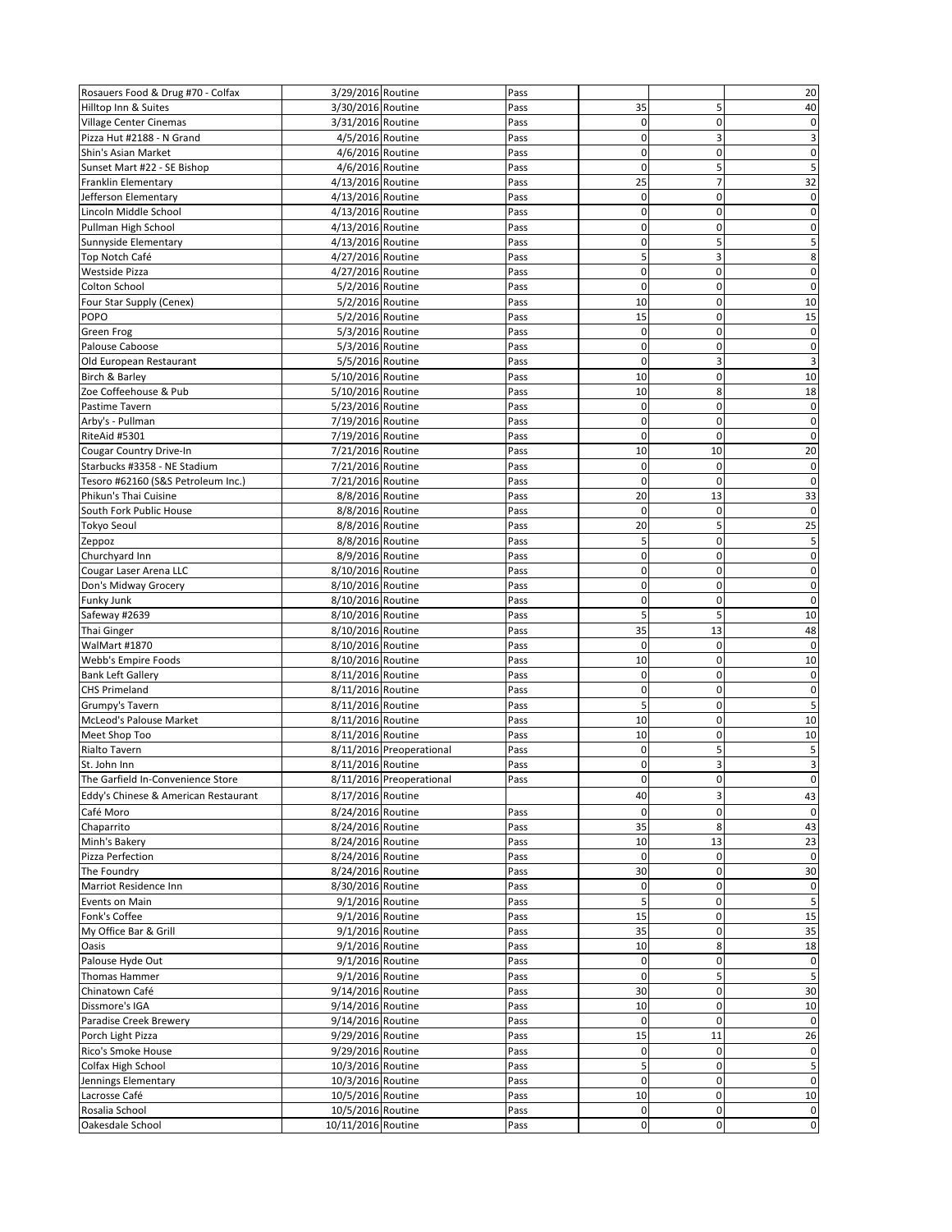| Rosauers Food & Drug #70 - Colfax    | 3/29/2016 Routine  |                          | Pass |             |                | 20              |
|--------------------------------------|--------------------|--------------------------|------|-------------|----------------|-----------------|
| Hilltop Inn & Suites                 | 3/30/2016 Routine  |                          | Pass | 35          | 5              | 40              |
| Village Center Cinemas               | 3/31/2016 Routine  |                          | Pass | 0           | 0              | 0               |
| Pizza Hut #2188 - N Grand            | 4/5/2016 Routine   |                          | Pass | $\mathbf 0$ | 3              | 3               |
|                                      | 4/6/2016 Routine   |                          | Pass | $\mathbf 0$ | $\mathbf 0$    | $\mathbf 0$     |
| Shin's Asian Market                  |                    |                          |      |             |                |                 |
| Sunset Mart #22 - SE Bishop          | 4/6/2016 Routine   |                          | Pass | 0           | 5              | 5               |
| Franklin Elementary                  | 4/13/2016 Routine  |                          | Pass | 25          | $\overline{7}$ | 32              |
| Jefferson Elementary                 | 4/13/2016 Routine  |                          | Pass | 0           | 0              | 0               |
| Lincoln Middle School                | 4/13/2016 Routine  |                          | Pass | 0           | $\mathbf 0$    | 0               |
| Pullman High School                  | 4/13/2016 Routine  |                          | Pass | $\mathbf 0$ | $\mathbf 0$    | $\mathbf 0$     |
| Sunnyside Elementary                 | 4/13/2016 Routine  |                          | Pass | 0           | 5              | 5               |
| Top Notch Café                       | 4/27/2016 Routine  |                          | Pass | 5           | 3              | 8               |
| Westside Pizza                       | 4/27/2016 Routine  |                          | Pass | 0           | $\mathbf 0$    | 0               |
| Colton School                        | 5/2/2016 Routine   |                          | Pass | $\mathbf 0$ | $\mathbf 0$    | 0               |
| Four Star Supply (Cenex)             | 5/2/2016 Routine   |                          | Pass | 10          | $\mathbf 0$    | 10              |
| POPO                                 | 5/2/2016 Routine   |                          | Pass | 15          | $\mathbf 0$    | 15              |
|                                      | 5/3/2016 Routine   |                          |      | $\mathbf 0$ | $\mathbf 0$    | 0               |
| Green Frog                           |                    |                          | Pass |             |                |                 |
| Palouse Caboose                      | 5/3/2016 Routine   |                          | Pass | 0           | 0              | 0               |
| Old European Restaurant              | 5/5/2016 Routine   |                          | Pass | $\mathbf 0$ | 3              | 3               |
| Birch & Barley                       | 5/10/2016 Routine  |                          | Pass | 10          | $\mathbf 0$    | 10              |
| Zoe Coffeehouse & Pub                | 5/10/2016 Routine  |                          | Pass | 10          | 8              | 18              |
| Pastime Tavern                       | 5/23/2016 Routine  |                          | Pass | $\mathbf 0$ | $\mathbf 0$    | 0               |
| Arby's - Pullman                     | 7/19/2016 Routine  |                          | Pass | 0           | 0              | 0               |
| RiteAid #5301                        | 7/19/2016 Routine  |                          | Pass | $\mathbf 0$ | $\mathbf 0$    | 0               |
| Cougar Country Drive-In              | 7/21/2016 Routine  |                          | Pass | 10          | 10             | 20              |
| Starbucks #3358 - NE Stadium         | 7/21/2016 Routine  |                          | Pass | 0           | $\mathbf 0$    | 0               |
| Tesoro #62160 (S&S Petroleum Inc.)   | 7/21/2016 Routine  |                          | Pass | $\mathbf 0$ | $\mathbf 0$    | $\mathbf 0$     |
| Phikun's Thai Cuisine                | 8/8/2016 Routine   |                          | Pass | 20          | 13             | 33              |
|                                      | 8/8/2016 Routine   |                          |      | $\mathbf 0$ |                | 0               |
| South Fork Public House              |                    |                          | Pass |             | $\pmb{0}$      |                 |
| Tokyo Seoul                          | 8/8/2016 Routine   |                          | Pass | 20          | 5              | 25              |
| Zeppoz                               | 8/8/2016 Routine   |                          | Pass | 5           | $\mathbf 0$    | 5               |
| Churchyard Inn                       | 8/9/2016 Routine   |                          | Pass | $\mathbf 0$ | $\mathbf 0$    | 0               |
| Cougar Laser Arena LLC               | 8/10/2016 Routine  |                          | Pass | 0           | 0              | 0               |
| Don's Midway Grocery                 | 8/10/2016 Routine  |                          | Pass | $\mathbf 0$ | $\mathbf 0$    | $\pmb{0}$       |
| Funky Junk                           | 8/10/2016 Routine  |                          | Pass | $\mathbf 0$ | $\mathbf 0$    | $\mathbf 0$     |
| Safeway #2639                        | 8/10/2016 Routine  |                          | Pass | 5           | 5              | 10              |
| Thai Ginger                          | 8/10/2016 Routine  |                          | Pass | 35          | 13             | 48              |
| WalMart #1870                        | 8/10/2016 Routine  |                          | Pass | 0           | $\pmb{0}$      | 0               |
| Webb's Empire Foods                  | 8/10/2016 Routine  |                          | Pass | 10          | $\mathbf 0$    | 10              |
| <b>Bank Left Gallery</b>             | 8/11/2016 Routine  |                          | Pass | $\mathbf 0$ | $\mathbf 0$    | $\mathbf 0$     |
| <b>CHS Primeland</b>                 | 8/11/2016 Routine  |                          | Pass | $\mathbf 0$ | $\mathbf 0$    | 0               |
|                                      |                    |                          |      | 5           | $\mathbf 0$    |                 |
| Grumpy's Tavern                      | 8/11/2016 Routine  |                          | Pass |             |                |                 |
| McLeod's Palouse Market              | 8/11/2016 Routine  |                          | Pass | 10          | 0              | 10              |
| Meet Shop Too                        | 8/11/2016 Routine  |                          | Pass | 10          | $\mathbf 0$    | 10              |
| Rialto Tavern                        |                    | 8/11/2016 Preoperational | Pass | $\mathbf 0$ | 5              | 5               |
| St. John Inn                         | 8/11/2016 Routine  |                          | Pass | $\mathbf 0$ | 3              | 3               |
| The Garfield In-Convenience Store    |                    | 8/11/2016 Preoperational | Pass | $\Omega$    | $\Omega$       | $\Omega$        |
| Eddy's Chinese & American Restaurant | 8/17/2016 Routine  |                          |      | 40          | 3              | 43              |
| Café Moro                            | 8/24/2016 Routine  |                          | Pass | $\pmb{0}$   | $\pmb{0}$      | $\mathbf 0$     |
| Chaparrito                           | 8/24/2016 Routine  |                          | Pass | 35          | 8              | 43              |
| Minh's Bakery                        | 8/24/2016 Routine  |                          | Pass | 10          | 13             | $\overline{23}$ |
| Pizza Perfection                     | 8/24/2016 Routine  |                          | Pass | 0           | $\pmb{0}$      | $\pmb{0}$       |
|                                      | 8/24/2016 Routine  |                          |      | 30          | $\mathbf 0$    | 30              |
| The Foundry                          |                    |                          | Pass | $\pmb{0}$   | $\mathbf 0$    |                 |
| Marriot Residence Inn                | 8/30/2016 Routine  |                          | Pass |             |                | $\pmb{0}$       |
| Events on Main                       | 9/1/2016 Routine   |                          | Pass | 5           | $\pmb{0}$      | 5               |
| Fonk's Coffee                        | 9/1/2016 Routine   |                          | Pass | 15          | $\pmb{0}$      | $15$            |
| My Office Bar & Grill                | 9/1/2016 Routine   |                          | Pass | 35          | $\bf 0$        | 35              |
| Oasis                                | 9/1/2016 Routine   |                          | Pass | 10          | 8              | 18              |
| Palouse Hyde Out                     | 9/1/2016 Routine   |                          | Pass | $\pmb{0}$   | $\pmb{0}$      | $\pmb{0}$       |
| Thomas Hammer                        | 9/1/2016 Routine   |                          | Pass | $\mathbf 0$ | 5              | 5               |
| Chinatown Café                       | 9/14/2016 Routine  |                          | Pass | 30          | $\pmb{0}$      | $30\,$          |
| Dissmore's IGA                       | 9/14/2016 Routine  |                          | Pass | 10          | $\mathbf 0$    | 10              |
| Paradise Creek Brewery               | 9/14/2016 Routine  |                          | Pass | 0           | $\mathbf 0$    | $\pmb{0}$       |
| Porch Light Pizza                    | 9/29/2016 Routine  |                          | Pass | 15          | 11             | 26              |
| Rico's Smoke House                   | 9/29/2016 Routine  |                          | Pass | $\mathbf 0$ | $\pmb{0}$      | $\pmb{0}$       |
|                                      |                    |                          |      | 5           | $\pmb{0}$      |                 |
| Colfax High School                   | 10/3/2016 Routine  |                          | Pass |             |                | 5               |
| Jennings Elementary                  | 10/3/2016 Routine  |                          | Pass | $\mathbf 0$ | $\pmb{0}$      | $\pmb{0}$       |
| Lacrosse Café                        | 10/5/2016 Routine  |                          | Pass | 10          | $\pmb{0}$      | $10\,$          |
| Rosalia School                       | 10/5/2016 Routine  |                          | Pass | $\pmb{0}$   | $\pmb{0}$      | $\pmb{0}$       |
| Oakesdale School                     | 10/11/2016 Routine |                          | Pass | $\mathbf 0$ | $\mathbf 0$    | $\mathbf 0$     |